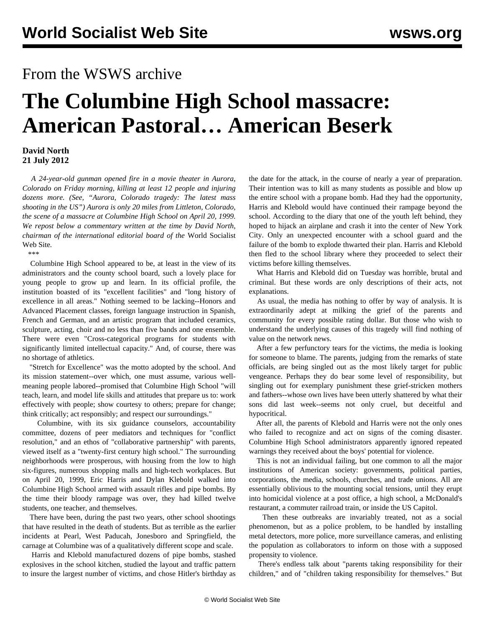## From the WSWS archive

## **The Columbine High School massacre: American Pastoral… American Beserk**

## **David North 21 July 2012**

 *A 24-year-old gunman opened fire in a movie theater in Aurora, Colorado on Friday morning, killing at least 12 people and injuring dozens more. (See, ["Aurora, Colorado tragedy: The latest mass](/en/articles/2012/jul2012/auro-j21.shtml) [shooting in the US"](/en/articles/2012/jul2012/auro-j21.shtml)) Aurora is only 20 miles from Littleton, Colorado, the scene of a massacre at Columbine High School on April 20, 1999. We repost below a commentary written at the time by David North, chairman of the international editorial board of the* World Socialist Web Site*.*

\*\*\*

 Columbine High School appeared to be, at least in the view of its administrators and the county school board, such a lovely place for young people to grow up and learn. In its official profile, the institution boasted of its "excellent facilities" and "long history of excellence in all areas." Nothing seemed to be lacking--Honors and Advanced Placement classes, foreign language instruction in Spanish, French and German, and an artistic program that included ceramics, sculpture, acting, choir and no less than five bands and one ensemble. There were even "Cross-categorical programs for students with significantly limited intellectual capacity." And, of course, there was no shortage of athletics.

 "Stretch for Excellence" was the motto adopted by the school. And its mission statement--over which, one must assume, various wellmeaning people labored--promised that Columbine High School "will teach, learn, and model life skills and attitudes that prepare us to: work effectively with people; show courtesy to others; prepare for change; think critically; act responsibly; and respect our surroundings."

 Columbine, with its six guidance counselors, accountability committee, dozens of peer mediators and techniques for "conflict resolution," and an ethos of "collaborative partnership" with parents, viewed itself as a "twenty-first century high school." The surrounding neighborhoods were prosperous, with housing from the low to high six-figures, numerous shopping malls and high-tech workplaces. But on April 20, 1999, Eric Harris and Dylan Klebold walked into Columbine High School armed with assault rifles and pipe bombs. By the time their bloody rampage was over, they had killed twelve students, one teacher, and themselves.

 There have been, during the past two years, other school shootings that have resulted in the death of students. But as terrible as the earlier incidents at Pearl, West Paducah, Jonesboro and Springfield, the carnage at Columbine was of a qualitatively different scope and scale.

 Harris and Klebold manufactured dozens of pipe bombs, stashed explosives in the school kitchen, studied the layout and traffic pattern to insure the largest number of victims, and chose Hitler's birthday as the date for the attack, in the course of nearly a year of preparation. Their intention was to kill as many students as possible and blow up the entire school with a propane bomb. Had they had the opportunity, Harris and Klebold would have continued their rampage beyond the school. According to the diary that one of the youth left behind, they hoped to hijack an airplane and crash it into the center of New York City. Only an unexpected encounter with a school guard and the failure of the bomb to explode thwarted their plan. Harris and Klebold then fled to the school library where they proceeded to select their victims before killing themselves.

 What Harris and Klebold did on Tuesday was horrible, brutal and criminal. But these words are only descriptions of their acts, not explanations.

 As usual, the media has nothing to offer by way of analysis. It is extraordinarily adept at milking the grief of the parents and community for every possible rating dollar. But those who wish to understand the underlying causes of this tragedy will find nothing of value on the network news.

 After a few perfunctory tears for the victims, the media is looking for someone to blame. The parents, judging from the remarks of state officials, are being singled out as the most likely target for public vengeance. Perhaps they do bear some level of responsibility, but singling out for exemplary punishment these grief-stricken mothers and fathers--whose own lives have been utterly shattered by what their sons did last week--seems not only cruel, but deceitful and hypocritical.

 After all, the parents of Klebold and Harris were not the only ones who failed to recognize and act on signs of the coming disaster. Columbine High School administrators apparently ignored repeated warnings they received about the boys' potential for violence.

 This is not an individual failing, but one common to all the major institutions of American society: governments, political parties, corporations, the media, schools, churches, and trade unions. All are essentially oblivious to the mounting social tensions, until they erupt into homicidal violence at a post office, a high school, a McDonald's restaurant, a commuter railroad train, or inside the US Capitol.

 Then these outbreaks are invariably treated, not as a social phenomenon, but as a police problem, to be handled by installing metal detectors, more police, more surveillance cameras, and enlisting the population as collaborators to inform on those with a supposed propensity to violence.

 There's endless talk about "parents taking responsibility for their children," and of "children taking responsibility for themselves." But